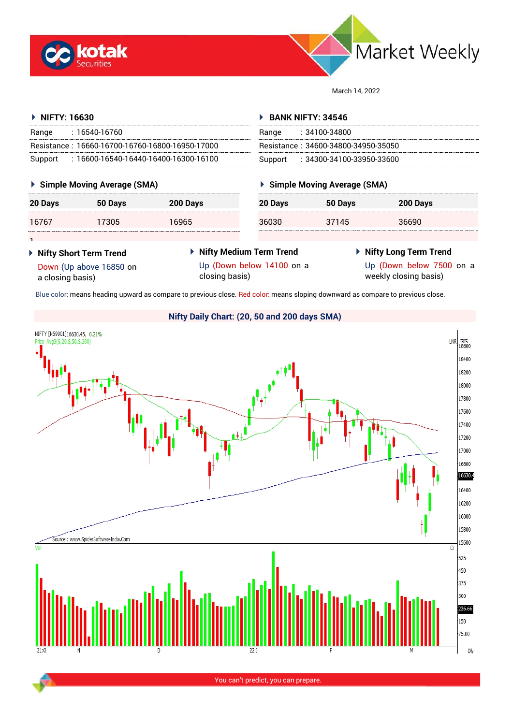



March 14, 2022

#### **NIFTY: 16630** Range : 16540-16760 Resistance : 16660-16700-16760-16800-16950-17000 Support : 16600-16540-16440-16400-16300-16100 **BANK NIFTY: 34546** Range : 34100-34800 Resistance : 34600-34800-34950-35050 Support : 34300-34100-33950-33600

#### **Simple Moving Average (SMA)**

| 20 Days | 50 Days | 200 Days |
|---------|---------|----------|
| 16767   | 17305   | 16965    |

## **Simple Moving Average (SMA)**

|    | 20 Days | 50 Days | 200 Days |
|----|---------|---------|----------|
| -- | 36030   | 37145   | 36690    |

 **Nifty Short Term Trend** Down (Up above 16850 on

a closing basis)

1

- **Nifty Medium Term Trend** Up (Down below 14100 on a closing basis)
- **Nifty Long Term Trend**

Up (Down below 7500 on a weekly closing basis)

Blue color: means heading upward as compare to previous close. Red color: means sloping downward as compare to previous close.



## **Nifty Daily Chart: (20, 50 and 200 days SMA)**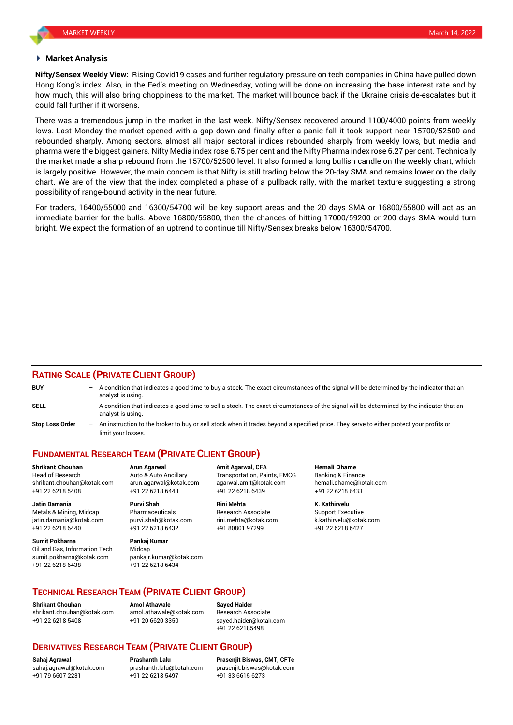#### **Market Analysis**

**Nifty/Sensex Weekly View:** Rising Covid19 cases and further regulatory pressure on tech companies in China have pulled down Hong Kong's index. Also, in the Fed's meeting on Wednesday, voting will be done on increasing the base interest rate and by how much, this will also bring choppiness to the market. The market will bounce back if the Ukraine crisis de-escalates but it could fall further if it worsens.

There was a tremendous jump in the market in the last week. Nifty/Sensex recovered around 1100/4000 points from weekly lows. Last Monday the market opened with a gap down and finally after a panic fall it took support near 15700/52500 and rebounded sharply. Among sectors, almost all major sectoral indices rebounded sharply from weekly lows, but media and pharma were the biggest gainers. Nifty Media index rose 6.75 per cent and the Nifty Pharma index rose 6.27 per cent. Technically the market made a sharp rebound from the 15700/52500 level. It also formed a long bullish candle on the weekly chart, which is largely positive. However, the main concern is that Nifty is still trading below the 20-day SMA and remains lower on the daily chart. We are of the view that the index completed a phase of a pullback rally, with the market texture suggesting a strong possibility of range-bound activity in the near future.

For traders, 16400/55000 and 16300/54700 will be key support areas and the 20 days SMA or 16800/55800 will act as an immediate barrier for the bulls. Above 16800/55800, then the chances of hitting 17000/59200 or 200 days SMA would turn bright. We expect the formation of an uptrend to continue till Nifty/Sensex breaks below 16300/54700.

### **RATING SCALE (PRIVATE CLIENT GROUP)**

| <b>BUY</b>      | $-$ A condition that indicates a good time to buy a stock. The exact circumstances of the signal will be determined by the indicator that an<br>analyst is using. |
|-----------------|-------------------------------------------------------------------------------------------------------------------------------------------------------------------|
| <b>SELL</b>     | - A condition that indicates a good time to sell a stock. The exact circumstances of the signal will be determined by the indicator that an<br>analyst is using.  |
| Stop Loss Order | An instruction to the broker to buy or sell stock when it trades beyond a specified price. They serve to either protect your profits or<br>limit your losses.     |

# **FUNDAMENTAL RESEARCH TEAM (PRIVATE CLIENT GROUP)**

Head of Research **Auto & Auto Ancillary** Transportation, Paints, FMCG Banking & Finance shrikant.chouhan@kotak.com arun.agarwal@kotak.com [agarwal.amit@kotak.com](mailto:agarwal.amit@kotak.com) hemali.dhame@kotak.com +91 22 6218 5408 +91 22 6218 6443 +91 22 6218 6439 +91 22 6218 6433

Metals & Mining, Midcap Pharmaceuticals Research Associate Support Executive jatin.damania@kotak.com [purvi.shah@kotak.com](mailto:purvi.shah@kotak.com) rini.mehta@kotak.com [k.kathirvelu@kotak.com](mailto:k.kathirvelu@kotak.com) +91 22 6218 6440 +91 22 6218 6432 +91 80801 97299 +91 22 6218 6427

**Sumit Pokharna** Pankaj Kumar Oil and Gas, Information Tech Midcap<br>sumit pokharna@kotak.com pankair kumar@kotak.com sumit.pokharna@kotak.com +91 22 6218 6438 +91 22 6218 6434

**Jatin Damania Purvi Shah Rini Mehta K. Kathirvelu**

**Shrikant Chouhan Arun Agarwal Amit Agarwal, CFA Hemali Dhame**

## **TECHNICAL RESEARCH TEAM (PRIVATE CLIENT GROUP)**

**Shrikant Chouhan Amol Athawale Sayed Haider** [shrikant.chouhan@kotak.com](mailto:shrikant.chouhan@kotak.com) [amol.athawale@kotak.com](mailto:amol.athawale@kotak.com) Research Associate +91 22 6218 5408 +91 20 6620 3350 [sayed.haider@kotak.com](mailto:sayed.haider@kotak.com)

+91 22 62185498

## **DERIVATIVES RESEARCH TEAM (PRIVATE CLIENT GROUP)**

+91 79 6607 2231 +91 22 6218 5497 +91 33 6615 6273

**Sahaj Agrawal Prashanth Lalu Prasenjit Biswas, CMT, CFTe** [sahaj.agrawal@kotak.com](mailto:sahaj.agrawal@kotak.com) [prashanth.lalu@kotak.com](mailto:prashanth.lalu@kotak.com) [prasenjit.biswas@kotak.com](mailto:prasenjit.biswas@kotak.com)